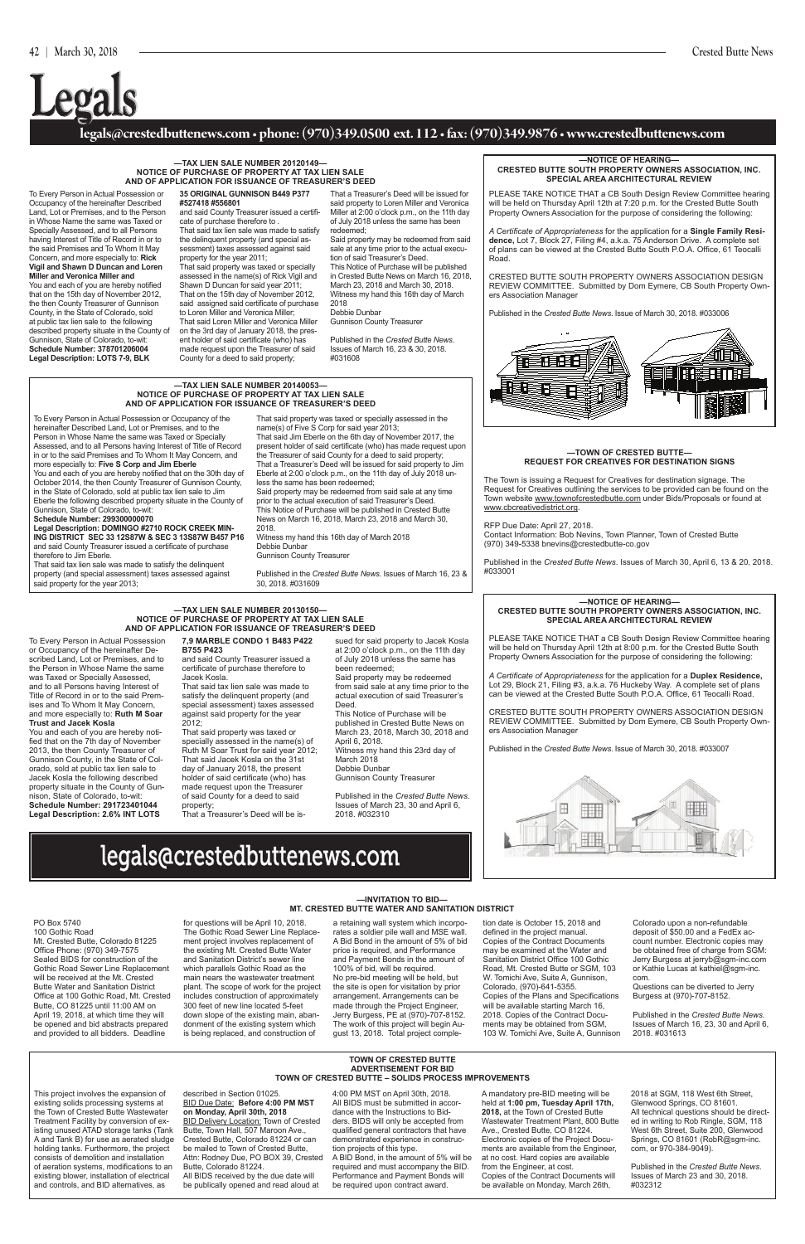#### **TOWN OF CRESTED BUTTE ADVERTISEMENT FOR BID TOWN OF CRESTED BUTTE – SOlIDS PROCESS IMPROVEMENTS**

This project involves the expansion of existing solids processing systems at the Town of Crested Butte Wastewater Treatment Facility by conversion of existing unused ATAD storage tanks (Tank A and Tank B) for use as aerated sludge holding tanks. Furthermore, the project consists of demolition and installation of aeration systems, modifications to an existing blower, installation of electrical and controls, and BID alternatives, as

**BID Delivery Location: Town of Crested** Butte, Town Hall, 507 Maroon Ave., Crested Butte, Colorado 81224 or can be mailed to Town of Crested Butte, Attn: Rodney Due, PO BOX 39, Crested Butte, Colorado 81224.

#### described in Section 01025. BID Due Date: **Before 4:00 PM MST on Monday, April 30th, 2018**

All BIDS received by the due date will be publically opened and read aloud at

4:00 PM MST on April 30th, 2018. All BIDS must be submitted in accordance with the Instructions to Bidders. BIDS will only be accepted from qualified general contractors that have demonstrated experience in construction projects of this type. A BID Bond, in the amount of 5% will be required and must accompany the BID. Performance and Payment Bonds will be required upon contract award.

A mandatory pre-BID meeting will be held at **1:00 pm, Tuesday April 17th, 2018,** at the Town of Crested Butte Wastewater Treatment Plant, 800 Butte Ave., Crested Butte, CO 81224. Electronic copies of the Project Documents are available from the Engineer, at no cost. Hard copies are available from the Engineer, at cost. Copies of the Contract Documents will be available on Monday, March 26th,

That said property was taxed or specially assessed in the name(s) of Five S Corp for said year 2013; That said Jim Eberle on the 6th day of November 2017, the present holder of said certificate (who) has made request upon the Treasurer of said County for a deed to said property; That a Treasurer's Deed will be issued for said property to Jim Eberle at 2:00 o'clock p.m., on the 11th day of July 2018 unless the same has been redeemed; Said property may be redeemed from said sale at any time the contract of the contract of the contract of the contract of the contract of

> 2018 at SGM, 118 West 6th Street, Glenwood Springs, CO 81601. All technical questions should be directed in writing to Rob Ringle, SGM, 118 West 6th Street, Suite 200, Glenwood Springs, CO 81601 (RobR@sgm-inc. com, or 970-384-9049).

Published in the *Crested Butte News*. Issues of March 23 and 30, 2018. #032312

#### **legals@crestedbuttenews.com • phone: (970)349.0500 ext. 112 • fax: (970)349.9876 • www.crestedbuttenews.com**

# **Legals**

## legals@crestedbuttenews.com

#### **—TAX lIEN SAlE NUMBER 20140053— NOTICE OF PURCHASE OF PROPERTY AT TAX lIEN SAlE AND OF APPlICATION FOR ISSUANCE OF TREASURER'S DEED**

To Every Person in Actual Possession or Occupancy of the hereinafter Described Land, Lot or Premises, and to the Person in Whose Name the same was Taxed or Specially Assessed, and to all Persons having Interest of Title of Record in or to the said Premises and To Whom It May Concern, and more especially to: **Five S Corp and Jim Eberle** You and each of you are hereby notified that on the 30th day of October 2014, the then County Treasurer of Gunnison County, in the State of Colorado, sold at public tax lien sale to Jim Eberle the following described property situate in the County of

Gunnison, State of Colorado, to-wit:

**Schedule Number: 299300000070 legal Description: DOMINGO #2710 ROCK CREEK MIN-**

**ING DISTRICT SEC 33 12S87W & SEC 3 13S87W B457 P16** and said County Treasurer issued a certificate of purchase therefore to Jim Eberle.

That said tax lien sale was made to satisfy the delinquent property (and special assessment) taxes assessed against said property for the year 2013;

prior to the actual execution of said Treasurer's Deed. This Notice of Purchase will be published in Crested Butte News on March 16, 2018, March 23, 2018 and March 30, 2018.

Witness my hand this 16th day of March 2018 Debbie Dunbar Gunnison County Treasurer

Published in the *Crested Butte News*. Issues of March 16, 23 & 30, 2018. #031609

PO Box 5740 100 Gothic Road Mt. Crested Butte, Colorado 81225 Office Phone: (970) 349-7575 Sealed BIDS for construction of the Gothic Road Sewer Line Replacement will be received at the Mt. Crested Butte Water and Sanitation District Office at 100 Gothic Road, Mt. Crested Butte, CO 81225 until 11:00 AM on April 19, 2018, at which time they will be opened and bid abstracts prepared and provided to all bidders. Deadline

for questions will be April 10, 2018. The Gothic Road Sewer Line Replacement project involves replacement of the existing Mt. Crested Butte Water and Sanitation District's sewer line which parallels Gothic Road as the main nears the wastewater treatment plant. The scope of work for the project includes construction of approximately 300 feet of new line located 5-feet down slope of the existing main, abandonment of the existing system which is being replaced, and construction of

a retaining wall system which incorporates a soldier pile wall and MSE wall. A Bid Bond in the amount of 5% of bid price is required, and Performance and Payment Bonds in the amount of 100% of bid, will be required. No pre-bid meeting will be held, but the site is open for visitation by prior arrangement. Arrangements can be made through the Project Engineer, Jerry Burgess, PE at (970)-707-8152. The work of this project will begin August 13, 2018. Total project completion date is October 15, 2018 and defined in the project manual. Copies of the Contract Documents may be examined at the Water and Sanitation District Office 100 Gothic Road, Mt. Crested Butte or SGM, 103 W. Tomichi Ave, Suite A, Gunnison, Colorado, (970)-641-5355. Copies of the Plans and Specifications will be available starting March 16, 2018. Copies of the Contract Documents may be obtained from SGM, 103 W. Tomichi Ave, Suite A, Gunnison

Colorado upon a non-refundable deposit of \$50.00 and a FedEx account number. Electronic copies may be obtained free of charge from SGM: Jerry Burgess at jerryb@sgm-inc.com or Kathie Lucas at kathiel@sgm-inc. com.

 www.cbcreativedistrict.org. The Town is issuing a Request for Creatives for destination signage. The Request for Creatives outlining the services to be provided can be found on the Town website www.townofcrestedbutte.com under Bids/Proposals or found at

> Questions can be diverted to Jerry Burgess at (970)-707-8152.

Published in the *Crested Butte News*. Issues of March 16, 23, 30 and April 6, 2018. #031613

#### **—TAX lIEN SAlE NUMBER 20120149— NOTICE OF PURCHASE OF PROPERTY AT TAX lIEN SAlE AND OF APPlICATION FOR ISSUANCE OF TREASURER'S DEED**

To Every Person in Actual Possession or Occupancy of the hereinafter Described Land, Lot or Premises, and to the Person in Whose Name the same was Taxed or Specially Assessed, and to all Persons having Interest of Title of Record in or to the said Premises and To Whom It May Concern, and more especially to: **Rick Vigil and Shawn D Duncan and loren Miller and Veronica Miller and**  You and each of you are hereby notified that on the 15th day of November 2012, the then County Treasurer of Gunnison County, in the State of Colorado, sold at public tax lien sale to the following described property situate in the County of Gunnison, State of Colorado, to-wit: **Schedule Number: 378701206004 legal Description: lOTS 7-9, BlK** 

**35 ORIGINAl GUNNISON B449 P377 #527418 #556801** and said County Treasurer issued a certificate of purchase therefore to . That said tax lien sale was made to satisfy the delinquent property (and special assessment) taxes assessed against said property for the year 2011; That said property was taxed or specially assessed in the name(s) of Rick Vigil and

Shawn D Duncan for said year 2011; That on the 15th day of November 2012, said assigned said certificate of purchase to Loren Miller and Veronica Miller; That said Loren Miller and Veronica Miller on the 3rd day of January 2018, the present holder of said certificate (who) has made request upon the Treasurer of said County for a deed to said property;

That a Treasurer's Deed will be issued for said property to Loren Miller and Veronica Miller at 2:00 o'clock p.m., on the 11th day of July 2018 unless the same has been redeemed;

Said property may be redeemed from said sale at any time prior to the actual execution of said Treasurer's Deed.

This Notice of Purchase will be published in Crested Butte News on March 16, 2018, March 23, 2018 and March 30, 2018. Witness my hand this 16th day of March 2018

Debbie Dunbar Gunnison County Treasurer

Published in the *Crested Butte News*. Issues of March 16, 23 & 30, 2018. #031608

#### **—TAX lIEN SAlE NUMBER 20130150— NOTICE OF PURCHASE OF PROPERTY AT TAX lIEN SAlE AND OF APPlICATION FOR ISSUANCE OF TREASURER'S DEED**

To Every Person in Actual Possession or Occupancy of the hereinafter Described Land, Lot or Premises, and to the Person in Whose Name the same was Taxed or Specially Assessed, and to all Persons having Interest of Title of Record in or to the said Premises and To Whom It May Concern, and more especially to: **Ruth M Soar Trust and Jacek Kosla**

You and each of you are hereby notified that on the 7th day of November 2013, the then County Treasurer of Gunnison County, in the State of Colorado, sold at public tax lien sale to Jacek Kosla the following described property situate in the County of Gunnison, State of Colorado, to-wit: **Schedule Number: 291723401044 legal Description: 2.6% INT lOTS** 

**7,9 MARBlE CONDO 1 B483 P422 B755 P423** and said County Treasurer issued a

certificate of purchase therefore to Jacek Kosla. That said tax lien sale was made to satisfy the delinquent property (and special assessment) taxes assessed against said property for the year 2012;

That said property was taxed or specially assessed in the name(s) of Ruth M Soar Trust for said year 2012; That said Jacek Kosla on the 31st day of January 2018, the present holder of said certificate (who) has made request upon the Treasurer of said County for a deed to said property;

That a Treasurer's Deed will be is-

sued for said property to Jacek Kosla at 2:00 o'clock p.m., on the 11th day of July 2018 unless the same has been redeemed; Said property may be redeemed from said sale at any time prior to the actual execution of said Treasurer's Deed.

This Notice of Purchase will be published in Crested Butte News on March 23, 2018, March 30, 2018 and April 6, 2018. Witness my hand this 23rd day of March 2018 Debbie Dunbar Gunnison County Treasurer

Published in the *Crested Butte News*. Issues of March 23, 30 and April 6, 2018. #032310

PLEASE TAKE NOTICE THAT a CB South Design Review Committee hearing will be held on Thursday April 12th at 7:20 p.m. for the Crested Butte South Property Owners Association for the purpose of considering the following:

*A Certificate of Appropriateness* for the application for a **Single Family Residence,** Lot 7, Block 27, Filing #4, a.k.a. 75 Anderson Drive. A complete set of plans can be viewed at the Crested Butte South P.O.A. Office, 61 Teocalli Road.

CRESTED BUTTE SOUTH PROPERTY OWNERS ASSOCIATION DESIGN REVIEW COMMITTEE. Submitted by Dom Eymere, CB South Property Owners Association Manager

Published in the *Crested Butte News*. Issue of March 30, 2018. #033006



 Contact Information: Bob Nevins, Town Planner, Town of Crested Butte (970) 349-5338 bnevins@crestedbutte-co.gov

RFP Due Date: April 27, 2018.

#### **—NOTICE OF HEARING— CRESTED BUTTE SOUTH PROPERTY OWNERS ASSOCIATION, INC. SPECIAl AREA ARCHITECTURAl REVIEW**

PLEASE TAKE NOTICE THAT a CB South Design Review Committee hearing will be held on Thursday April 12th at 8:00 p.m. for the Crested Butte South Property Owners Association for the purpose of considering the following:

*A Certificate of Appropriateness* for the application for a **Duplex Residence,** Lot 29, Block 21, Filing #3, a.k.a. 76 Huckeby Way. A complete set of plans can be viewed at the Crested Butte South P.O.A. Office, 61 Teocalli Road.

CRESTED BUTTE SOUTH PROPERTY OWNERS ASSOCIATION DESIGN REVIEW COMMITTEE. Submitted by Dom Eymere, CB South Property Owners Association Manager

Published in the *Crested Butte News*. Issue of March 30, 2018. #033007



#### **—NOTICE OF HEARING— CRESTED BUTTE SOUTH PROPERTY OWNERS ASSOCIATION, INC. SPECIAl AREA ARCHITECTURAl REVIEW**

#### **—TOWN OF CRESTED BUTTE— REQUEST FOR CREATIVES FOR DESTINATION SIGNS**

Published in the *Crested Butte News*. Issues of March 30, April 6, 13 & 20, 2018. #033001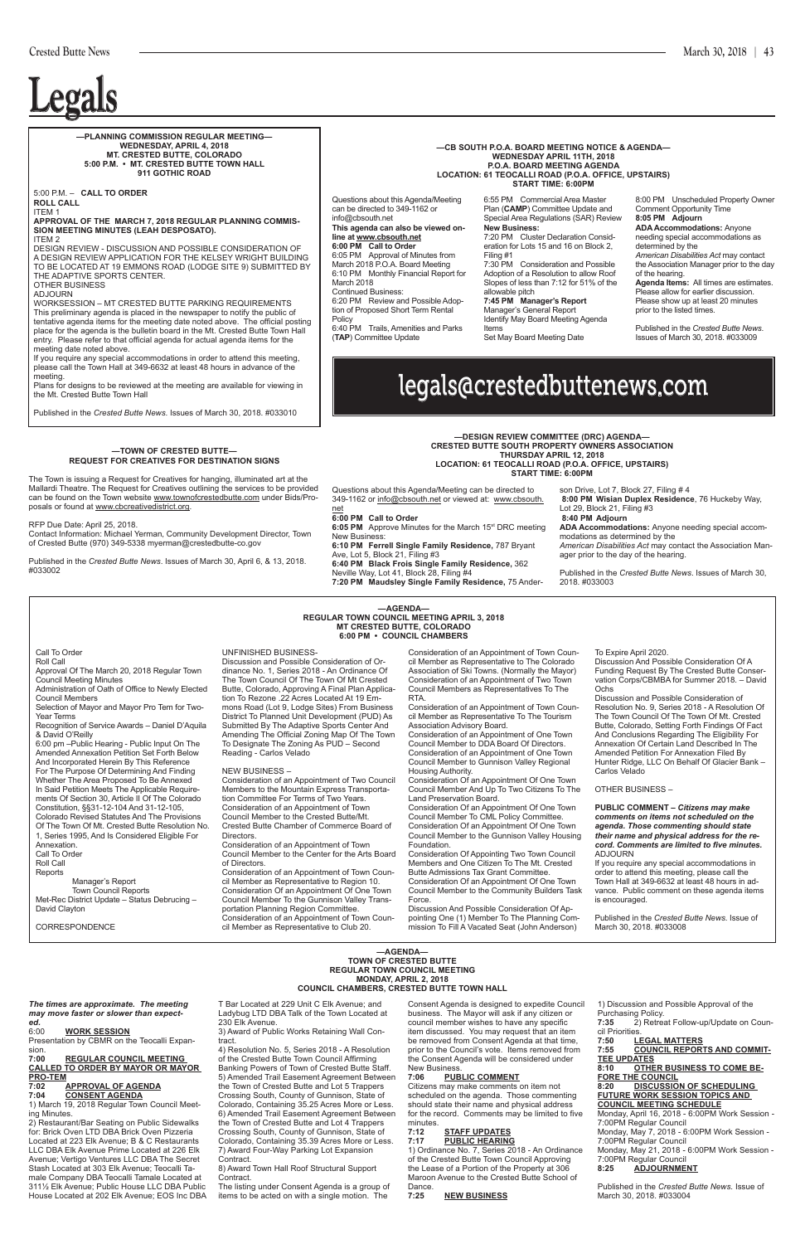## legals@crestedbuttenews.com

# **Legals Legals**

Call To Order

Roll Call

Approval Of The March 20, 2018 Regular Town Council Meeting Minutes

Administration of Oath of Office to Newly Elected Council Members

Selection of Mayor and Mayor Pro Tem for Two-Year Terms

Recognition of Service Awards – Daniel D'Aquila

& David O'Reilly 6:00 pm –Public Hearing - Public Input On The Amended Annexation Petition Set Forth Below And Incorporated Herein By This Reference For The Purpose Of Determining And Finding Whether The Area Proposed To Be Annexed In Said Petition Meets The Applicable Requirements Of Section 30, Article II Of The Colorado Constitution, §§31-12-104 And 31-12-105,

Discussion And Possible Consideration Of A Funding Request By The Crested Butte Conservation Corps/CBMBA for Summer 2018. – David **Ochs** 

Colorado Revised Statutes And The Provisions Of The Town Of Mt. Crested Butte Resolution No. 1, Series 1995, And Is Considered Eligible For Annexation.

Call To Order Roll Call

Reports

Manager's Report Town Council Reports Met-Rec District Update – Status Debrucing – David Clayton

#### UNFINISHED BUSINESS-

Discussion and Possible Consideration of Ordinance No. 1, Series 2018 - An Ordinance Of The Town Council Of The Town Of Mt Crested Butte, Colorado, Approving A Final Plan Application To Rezone .22 Acres Located At 19 Emmons Road (Lot 9, Lodge Sites) From Business District To Planned Unit Development (PUD) As Submitted By The Adaptive Sports Center And Amending The Official Zoning Map Of The Town To Designate The Zoning As PUD – Second Reading - Carlos Velado

**6:05 PM** Approve Minutes for the March 15<sup>st</sup> DRC meeting New Business:

son Drive, Lot 7, Block 27, Filing # 4  **8:00 PM Wisian Duplex Residence**, 76 Huckeby Way, Lot 29, Block 21, Filing #3

#### NEW BUSINESS –

Consideration of an Appointment of Two Council Members to the Mountain Express Transportation Committee For Terms of Two Years. Consideration of an Appointment of Town Council Member to the Crested Butte/Mt. Crested Butte Chamber of Commerce Board of Directors.

sion.<br>7:00 **7:00 REGULAR COUNCIL MEETING CALLED TO ORDER BY MAYOR OR MAYOR PRO-TEM**

#### **APPROVAL OF AGENDA 7:04 CONSENT AGENDA**

Consideration of an Appointment of Town Council Member to the Center for the Arts Board of Directors.

Consideration of an Appointment of Town Council Member as Representative to Region 10. Consideration Of an Appointment Of One Town Council Member To the Gunnison Valley Transportation Planning Region Committee.

Consideration of an Appointment of Town Council Member as Representative to The Colorado Association of Ski Towns. (Normally the Mayor) Consideration of an Appointment of Two Town Council Members as Representatives To The RTA.

Consideration of an Appointment of Town Council Member as Representative To The Tourism Association Advisory Board.

Citizens may make comments on item not scheduled on the agenda. Those commenting should state their name and physical address for the record. Comments may be limited to five minutes.<br>7:12

Consideration of an Appointment of One Town Council Member to DDA Board Of Directors. Consideration of an Appointment of One Town Council Member to Gunnison Valley Regional Housing Authority.

1) Ordinance No. 7, Series 2018 - An Ordinance of the Crested Butte Town Council Approving the Lease of a Portion of the Property at 306 Maroon Avenue to the Crested Butte School of Dance.<br>**7:25** 

Consideration Of an Appointment Of One Town Council Member And Up To Two Citizens To The Land Preservation Board.

Consideration Of an Appointment Of One Town Council Member To CML Policy Committee. Consideration Of an Appointment Of One Town Council Member to the Gunnison Valley Housing Foundation.

Consideration Of Appointing Two Town Council Members and One Citizen To The Mt. Crested Butte Admissions Tax Grant Committee. Consideration Of an Appointment Of One Town

Council Member to the Community Builders Task Force.

Discussion And Possible Consideration Of Ap-

pointing One (1) Member To The Planning Commission To Fill A Vacated Seat (John Anderson)

To Expire April 2020.

Discussion and Possible Consideration of Resolution No. 9, Series 2018 - A Resolution Of The Town Council Of The Town Of Mt. Crested Butte, Colorado, Setting Forth Findings Of Fact And Conclusions Regarding The Eligibility For Annexation Of Certain Land Described In The Amended Petition For Annexation Filed By Hunter Ridge, LLC On Behalf Of Glacier Bank -Carlos Velado

OTHER BUSINESS –

**PUBLIC COMMENT –** *Citizens may make comments on items not scheduled on the agenda. Those commenting should state their name and physical address for the record. Comments are limited to five minutes.* ADJOURN

If you require any special accommodations in order to attend this meeting, please call the Town Hall at 349-6632 at least 48 hours in advance. Public comment on these agenda items is encouraged.

Published in the *Crested Butte News*. Issue of March 30, 2018. #033008

**—AGENDA— REGULAR TOWN COUNCIL MEETING APRIL 3, 2018 MT CRESTED BUTTE, COLORADO 6:00 PM • COUNCIL CHAMBERS**

Questions about this Agenda/Meeting can be directed to 349-1162 or info@cbsouth.net or viewed at: www.cbsouth. net

#### **6:00 PM Call to Order**

**6:10 PM Ferrell Single Family Residence,** 787 Bryant Ave, Lot 5, Block 21, Filing #3

**6:40 PM Black Frois Single Family Residence,** 362

Neville Way, Lot 41, Block 28, Filing #4

**7:20 PM Maudsley Single Family Residence,** 75 Ander-

 **8:40 PM Adjourn ADA Accommodations:** Anyone needing special accom-

modations as determined by the *American Disabilities Act* may contact the Association Manager prior to the day of the hearing.

Published in the *Crested Butte News*. Issues of March 30, 2018. #033003

*The times are approximate. The meeting may move faster or slower than expect-*

#### *ed.* 6:00 **WORK SESSION**

Presentation by CBMR on the Teocalli Expan-

1) March 19, 2018 Regular Town Council Meeting Minutes.

2) Restaurant/Bar Seating on Public Sidewalks for: Brick Oven LTD DBA Brick Oven Pizzeria Located at 223 Elk Avenue; B & C Restaurants LLC DBA Elk Avenue Prime Located at 226 Elk Avenue; Vertigo Ventures LLC DBA The Secret Stash Located at 303 Elk Avenue; Teocalli Tamale Company DBA Teocalli Tamale Located at 311½ Elk Avenue; Public House LLC DBA Public House Located at 202 Elk Avenue; EOS Inc DBA T Bar Located at 229 Unit C Elk Avenue; and Ladybug LTD DBA Talk of the Town Located at 230 Elk Avenue.

3) Award of Public Works Retaining Wall Contract.

4) Resolution No. 5, Series 2018 - A Resolution of the Crested Butte Town Council Affirming Banking Powers of Town of Crested Butte Staff. 5) Amended Trail Easement Agreement Between the Town of Crested Butte and Lot 5 Trappers Crossing South, County of Gunnison, State of Colorado, Containing 35.25 Acres More or Less. 6) Amended Trail Easement Agreement Between the Town of Crested Butte and Lot 4 Trappers Crossing South, County of Gunnison, State of Colorado, Containing 35.39 Acres More or Less. 7) Award Four-Way Parking Lot Expansion Contract.

8) Award Town Hall Roof Structural Support Contract.

The listing under Consent Agenda is a group of items to be acted on with a single motion. The

Consent Agenda is designed to expedite Council business. The Mayor will ask if any citizen or council member wishes to have any specific item discussed. You may request that an item be removed from Consent Agenda at that time, prior to the Council's vote. Items removed from the Consent Agenda will be considered under New Business.

#### **7:06 PUBLIC COMMENT**

#### **7:12 STAFF UPDATES 7:17 PUBLIC HEARING**

#### **7:25 NEW BUSINESS**

1) Discussion and Possible Approval of the Purchasing Policy.<br>7:35 2) Retrea  $\check{2}$ ) Retreat Follow-up/Update on Council Priorities.<br>7:50 LE **7:50 LEGAL MATTERS 7:55 COUNCIL REPORTS AND COMMIT-TEE UPDATES 8:10 OTHER BUSINESS TO COME BE-FORE THE COUNCIL 8:20 DISCUSSION OF SCHEDULING FUTURE WORK SESSION TOPICS AND COUNCIL MEETING SCHEDULE** Monday, April 16, 2018 - 6:00PM Work Session - 7:00PM Regular Council Monday, May 7, 2018 - 6:00PM Work Session - 7:00PM Regular Council Monday, May 21, 2018 - 6:00PM Work Session - 7:00PM Regular Council<br>8:25 ADJOURNME **8:25 ADJOURNMENT**

Published in the *Crested Butte News*. Issue of March 30, 2018. #033004

#### **—AGENDA— TOWN OF CRESTED BUTTE REGULAR TOWN COUNCIL MEETING MONDAY, APRIL 2, 2018 COUNCIL CHAMBERS, CRESTED BUTTE TOWN HALL**

**—DESIGN REVIEW COMMITTEE (DRC) AGENDA— CRESTED BUTTE SOUTH PROPERTY OWNERS ASSOCIATION THURSDAY APRIL 12, 2018 LOCATION: 61 TEOCALLI ROAD (P.O.A. OFFICE, UPSTAIRS) START TIME: 6:00PM**

5:00 P.M. – **CALL TO ORDER ROLL CALL** ITEM 1

#### **APPROVAL OF THE MARCH 7, 2018 REGULAR PLANNING COMMIS-SION MEETING MINUTES (LEAH DESPOSATO).** ITEM 2

DESIGN REVIEW - DISCUSSION AND POSSIBLE CONSIDERATION OF A DESIGN REVIEW APPLICATION FOR THE KELSEY WRIGHT BUILDING TO BE LOCATED AT 19 EMMONS ROAD (LODGE SITE 9) SUBMITTED BY THE ADAPTIVE SPORTS CENTER.

OTHER BUSINESS ADJOURN

WORKSESSION – MT CRESTED BUTTE PARKING REQUIREMENTS This preliminary agenda is placed in the newspaper to notify the public of tentative agenda items for the meeting date noted above. The official posting place for the agenda is the bulletin board in the Mt. Crested Butte Town Hall entry. Please refer to that official agenda for actual agenda items for the meeting date noted above.

If you require any special accommodations in order to attend this meeting, please call the Town Hall at 349-6632 at least 48 hours in advance of the meeting.

Plans for designs to be reviewed at the meeting are available for viewing in the Mt. Crested Butte Town Hall

Published in the *Crested Butte News*. Issues of March 30, 2018. #033010

#### **—PLANNING COMMISSION REGULAR MEETING— WEDNESDAY, APRIL 4, 2018 MT. CRESTED BUTTE, COLORADO 5:00 P.M. • MT. CRESTED BUTTE TOWN HALL 911 GOTHIC ROAD**

Questions about this Agenda/Meeting can be directed to 349-1162 or info@cbsouth.net **This agenda can also be viewed online at www.cbsouth.net 6:00 PM Call to Order** 6:05 PM Approval of Minutes from March 2018 P.O.A. Board Meeting 6:10 PM Monthly Financial Report for March 2018 Continued Business: 6:20 PM Review and Possible Adoption of Proposed Short Term Rental Policy 6:40 PM Trails, Amenities and Parks

(**TAP**) Committee Update

6:55 PM Commercial Area Master Plan (CAMP) Committee Update and Special Area Regulations (SAR) Review **New Business:** 7:20 PM Cluster Declaration Consideration for Lots 15 and 16 on Block 2, Filing #1 7:30 PM Consideration and Possible Adoption of a Resolution to allow Roof Slopes of less than 7:12 for 51% of the allowable pitch **7:45 PM Manager's Report** Manager's General Report Identify May Board Meeting Agenda

Items

Set May Board Meeting Date

8:00 PM Unscheduled Property Owner Comment Opportunity Time **8:05 PM Adjourn ADA Accommodations:** Anyone needing special accommodations as determined by the *American Disabilities Act* may contact the Association Manager prior to the day of the hearing. **Agenda Items:** All times are estimates. Please allow for earlier discussion. Please show up at least 20 minutes

prior to the listed times.

Published in the *Crested Butte News*. Issues of March 30, 2018. #033009

#### **—TOWN OF CRESTED BUTTE— REQUEST FOR CREATIVES FOR DESTINATION SIGNS**

The Town is issuing a Request for Creatives for hanging, illuminated art at the Mallardi Theatre. The Request for Creatives outlining the services to be provided can be found on the Town website www.townofcrestedbutte.com under Bids/Proposals or found at www.cbcreativedistrict.org.

RFP Due Date: April 25, 2018.

Contact Information: Michael Yerman, Community Development Director, Town of Crested Butte (970) 349-5338 myerman@crestedbutte-co.gov

Published in the *Crested Butte News*. Issues of March 30, April 6, & 13, 2018. #033002

#### **—CB SOUTH P.O.A. BOARD MEETING NOTICE & AGENDA— WEDNESDAY APRIL 11TH, 2018 P.O.A. BOARD MEETING AGENDA LOCATION: 61 TEOCALLI ROAD (P.O.A. OFFICE, UPSTAIRS) START TIME: 6:00PM**